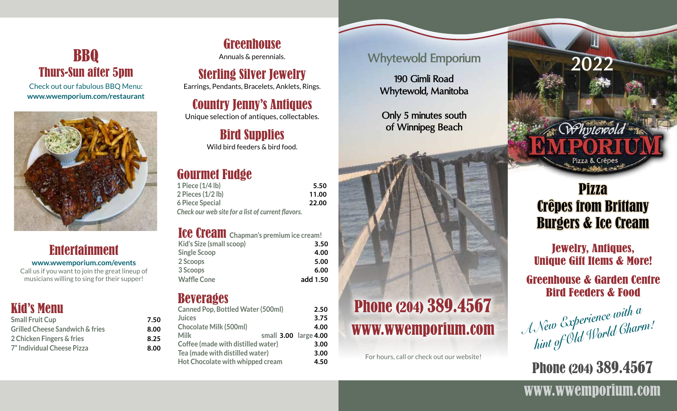### BBQ Thurs-Sun after 5pm

Check out our fabulous BBQ Menu: **www.wwemporium.com/restaurant**



#### Entertainment **www.wwemporium.com/events**

Call us if you want to join the great lineup of musicians willing to sing for their supper!

#### Kid's Menu

| <b>Small Fruit Cup</b>                     | 7.50 |
|--------------------------------------------|------|
| <b>Grilled Cheese Sandwich &amp; fries</b> | 8.00 |
| 2 Chicken Fingers & fries                  | 8.25 |
| 7" Individual Cheese Pizza                 | 8.00 |

Greenhouse Annuals & perennials.

### Sterling Silver Jewelry

Earrings, Pendants, Bracelets, Anklets, Rings.

### Country Jenny's Antiques

Unique selection of antiques, collectables.

#### Bird Supplies Wild bird feeders & bird food.

#### Gourmet Fudge

| 1 Piece (1/4 lb)                                  | 5.50  |
|---------------------------------------------------|-------|
| 2 Pieces (1/2 lb)                                 | 11.00 |
| <b>6 Piece Special</b>                            | 22.00 |
| Check our web site for a list of current flavors. |       |

#### Ice Cream **Chapman's premium ice cream!**

| <b>TOO CLOURER</b> Chapman's premium ice cream: |          |
|-------------------------------------------------|----------|
| Kid's Size (small scoop)                        | 3.50     |
| <b>Single Scoop</b>                             | 4.00     |
| 2 Scoops                                        | 5.00     |
| 3 Scoops                                        | 6.00     |
| <b>Waffle Cone</b>                              | add 1.50 |

#### **Beverages**

| <b>Canned Pop, Bottled Water (500ml)</b> |                       | 2.50 |
|------------------------------------------|-----------------------|------|
| <b>Juices</b>                            |                       | 3.75 |
| <b>Chocolate Milk (500ml)</b>            |                       | 4.00 |
| Milk                                     | small 3.00 large 4.00 |      |
| Coffee (made with distilled water)       |                       | 3.00 |
| Tea (made with distilled water)          |                       | 3.00 |
| Hot Chocolate with whipped cream         |                       | 4.50 |

#### **Whytewold Emporium**

**190 Gimli Road Whytewold, Manitoba**

**Only 5 minutes south of Winnipeg Beach**



For hours, call or check out our website!

# Whytewold Pizza & Crêpe

**2022**

## Pizza Crêpes from Brittany Burgers & Ice Cream

Jewelry, Antiques, Unique Gift Items & More!

#### Greenhouse & Garden Centre Bird Feeders & Food

| A New Experience with a<br>hint of Old World Gharm: |  |
|-----------------------------------------------------|--|
|                                                     |  |
|                                                     |  |

**Phone (204) 389.4567** 

### www.wwemporium.com